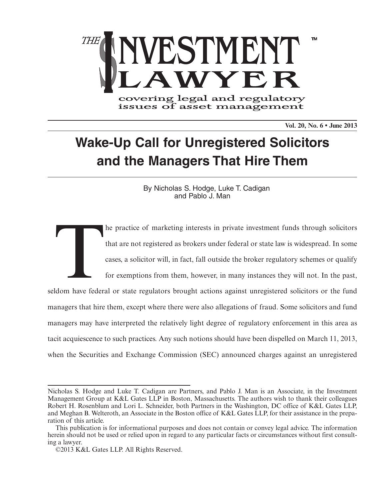

covering legal and regulatory<br>issues of asset management

**Vol. 20, No. 6 • June 2013**

# **Wake-Up Call for Unregistered Solicitors and the Managers That Hire Them**

By Nicholas S. Hodge, Luke T. Cadigan and Pablo J. Man

The practice of marketing interests in private investment funds through solicitors<br>that are not registered as brokers under federal or state law is widespread. In some<br>cases, a solicitor will, in fact, fall outside the bro that are not registered as brokers under federal or state law is widespread. In some cases, a solicitor will, in fact, fall outside the broker regulatory schemes or qualify for exemptions from them, however, in many instances they will not. In the past, seldom have federal or state regulators brought actions against unregistered solicitors or the fund managers that hire them, except where there were also allegations of fraud. Some solicitors and fund managers may have interpreted the relatively light degree of regulatory enforcement in this area as tacit acquiescence to such practices. Any such notions should have been dispelled on March 11, 2013, when the Securities and Exchange Commission (SEC) announced charges against an unregistered

Nicholas S. Hodge and Luke T. Cadigan are Partners, and Pablo J. Man is an Associate, in the Investment Management Group at K&L Gates LLP in Boston, Massachusetts. The authors wish to thank their colleagues Robert H. Rosenblum and Lori L. Schneider, both Partners in the Washington, DC office of K&L Gates LLP, and Meghan B. Welteroth, an Associate in the Boston office of K&L Gates LLP, for their assistance in the preparation of this article.

This publication is for informational purposes and does not contain or convey legal advice. The information herein should not be used or relied upon in regard to any particular facts or circumstances without first consulting a lawyer.

<sup>©2013</sup> K&L Gates LLP. All Rights Reserved.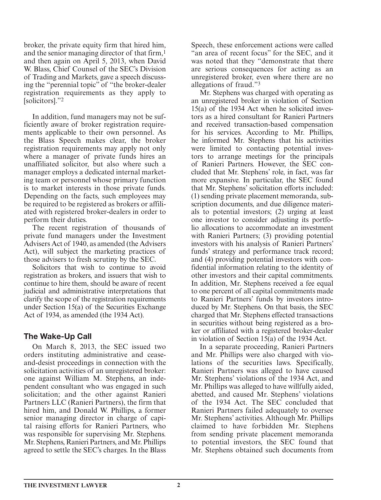broker, the private equity firm that hired him, and the senior managing director of that firm, 1 and then again on April 5, 2013, when David W. Blass, Chief Counsel of the SEC's Division of Trading and Markets, gave a speech discussing the "perennial topic" of "the broker-dealer registration requirements as they apply to [solicitors]."<sup>2</sup>

 In addition, fund managers may not be sufficiently aware of broker registration requirements applicable to their own personnel. As the Blass Speech makes clear, the broker registration requirements may apply not only where a manager of private funds hires an unaffiliated solicitor, but also where such a manager employs a dedicated internal marketing team or personnel whose primary function is to market interests in those private funds. Depending on the facts, such employees may be required to be registered as brokers or affiliated with registered broker-dealers in order to perform their duties.

 The recent registration of thousands of private fund managers under the Investment Advisers Act of 1940, as amended (the Advisers Act), will subject the marketing practices of those advisers to fresh scrutiny by the SEC.

 Solicitors that wish to continue to avoid registration as brokers, and issuers that wish to continue to hire them, should be aware of recent judicial and administrative interpretations that clarify the scope of the registration requirements under Section 15(a) of the Securities Exchange Act of 1934, as amended (the 1934 Act).

## **The Wake-Up Call**

 On March 8, 2013, the SEC issued two orders instituting administrative and ceaseand-desist proceedings in connection with the solicitation activities of an unregistered broker: one against William M. Stephens, an independent consultant who was engaged in such solicitation; and the other against Ranieri Partners LLC (Ranieri Partners), the firm that hired him, and Donald W. Phillips, a former senior managing director in charge of capital raising efforts for Ranieri Partners, who was responsible for supervising Mr. Stephens. Mr. Stephens, Ranieri Partners, and Mr. Phillips agreed to settle the SEC's charges. In the Blass Speech, these enforcement actions were called "an area of recent focus" for the SEC, and it was noted that they "demonstrate that there are serious consequences for acting as an unregistered broker, even where there are no allegations of fraud."<sup>3</sup>

 Mr. Stephens was charged with operating as an unregistered broker in violation of Section 15(a) of the 1934 Act when he solicited investors as a hired consultant for Ranieri Partners and received transaction-based compensation for his services. According to Mr. Phillips, he informed Mr. Stephens that his activities were limited to contacting potential investors to arrange meetings for the principals of Ranieri Partners. However, the SEC concluded that Mr. Stephens' role, in fact, was far more expansive. In particular, the SEC found that Mr. Stephens' solicitation efforts included: (1) sending private placement memoranda, subscription documents, and due diligence materials to potential investors; (2) urging at least one investor to consider adjusting its portfolio allocations to accommodate an investment with Ranieri Partners; (3) providing potential investors with his analysis of Ranieri Partners' funds' strategy and performance track record; and (4) providing potential investors with confidential information relating to the identity of other investors and their capital commitments. In addition, Mr. Stephens received a fee equal to one percent of all capital commitments made to Ranieri Partners' funds by investors introduced by Mr. Stephens. On that basis, the SEC charged that Mr. Stephens effected transactions in securities without being registered as a broker or affiliated with a registered broker-dealer in violation of Section 15(a) of the 1934 Act.

 In a separate proceeding, Ranieri Partners and Mr. Phillips were also charged with violations of the securities laws. Specifically, Ranieri Partners was alleged to have caused Mr. Stephens' violations of the 1934 Act, and Mr. Phillips was alleged to have willfully aided, abetted, and caused Mr. Stephens' violations of the 1934 Act. The SEC concluded that Ranieri Partners failed adequately to oversee Mr. Stephens' activities. Although Mr. Phillips claimed to have forbidden Mr. Stephens from sending private placement memoranda to potential investors, the SEC found that Mr. Stephens obtained such documents from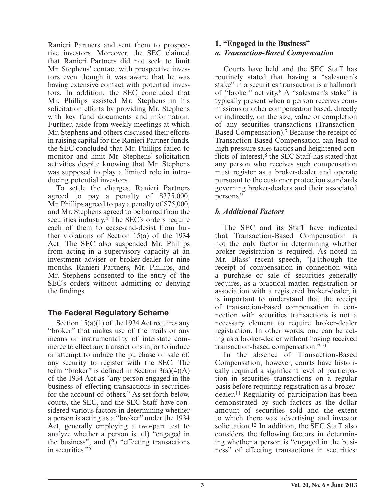Ranieri Partners and sent them to prospective investors. Moreover, the SEC claimed that Ranieri Partners did not seek to limit Mr. Stephens' contact with prospective investors even though it was aware that he was having extensive contact with potential investors. In addition, the SEC concluded that Mr. Phillips assisted Mr. Stephens in his solicitation efforts by providing Mr. Stephens with key fund documents and information. Further, aside from weekly meetings at which Mr. Stephens and others discussed their efforts in raising capital for the Ranieri Partner funds, the SEC concluded that Mr. Phillips failed to monitor and limit Mr. Stephens' solicitation activities despite knowing that Mr. Stephens was supposed to play a limited role in introducing potential investors.

 To settle the charges, Ranieri Partners agreed to pay a penalty of \$375,000, Mr. Phillips agreed to pay a penalty of \$75,000, and Mr. Stephens agreed to be barred from the securities industry.<sup>4</sup> The SEC's orders require each of them to cease-and-desist from further violations of Section 15(a) of the 1934 Act. The SEC also suspended Mr. Phillips from acting in a supervisory capacity at an investment adviser or broker-dealer for nine months. Ranieri Partners, Mr. Phillips, and Mr. Stephens consented to the entry of the SEC's orders without admitting or denying the findings.

## **The Federal Regulatory Scheme**

 Section 15(a)(1) of the 1934 Act requires any "broker" that makes use of the mails or any means or instrumentality of interstate commerce to effect any transactions in, or to induce or attempt to induce the purchase or sale of, any security to register with the SEC. The term "broker" is defined in Section  $3(a)(4)(A)$ of the 1934 Act as "any person engaged in the business of effecting transactions in securities for the account of others." As set forth below, courts, the SEC, and the SEC Staff have considered various factors in determining whether a person is acting as a "broker" under the 1934 Act, generally employing a two-part test to analyze whether a person is: (1) "engaged in the business"; and  $\overline{2}$  "effecting transactions" in securities."<sup>5</sup>

#### **1. "Engaged in the Business"**   *a. Transaction-Based Compensation*

 Courts have held and the SEC Staff has routinely stated that having a "salesman's stake" in a securities transaction is a hallmark of "broker" activity.<sup>6</sup> A "salesman's stake" is typically present when a person receives commissions or other compensation based, directly or indirectly, on the size, value or completion of any securities transactions (Transaction-Based Compensation).<sup>7</sup> Because the receipt of Transaction-Based Compensation can lead to high pressure sales tactics and heightened conflicts of interest, 8 the SEC Staff has stated that any person who receives such compensation must register as a broker-dealer and operate pursuant to the customer protection standards governing broker-dealers and their associated persons. 9

## *b. Additional Factors*

 The SEC and its Staff have indicated that Transaction-Based Compensation is not the only factor in determining whether broker registration is required. As noted in Mr. Blass' recent speech, "[a]lthough the receipt of compensation in connection with a purchase or sale of securities generally requires, as a practical matter, registration or association with a registered broker-dealer, it is important to understand that the receipt of transaction-based compensation in connection with securities transactions is not a necessary element to require broker-dealer registration. In other words, one can be acting as a broker-dealer without having received transaction-based compensation." 10

 In the absence of Transaction-Based Compensation, however, courts have historically required a significant level of participation in securities transactions on a regular basis before requiring registration as a brokerdealer. 11 Regularity of participation has been demonstrated by such factors as the dollar amount of securities sold and the extent to which there was advertising and investor solicitation. 12 In addition, the SEC Staff also considers the following factors in determining whether a person is "engaged in the business" of effecting transactions in securities: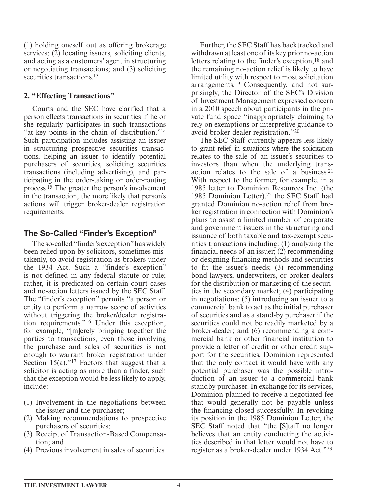(1) holding oneself out as offering brokerage services; (2) locating issuers, soliciting clients, and acting as a customers' agent in structuring or negotiating transactions; and (3) soliciting securities transactions.<sup>13</sup>

#### **2. "Effecting Transactions"**

 Courts and the SEC have clarified that a person effects transactions in securities if he or she regularly participates in such transactions "at key points in the chain of distribution." 14 Such participation includes assisting an issuer in structuring prospective securities transactions, helping an issuer to identify potential purchasers of securities, soliciting securities transactions (including advertising), and participating in the order-taking or order-routing process. 15 The greater the person's involvement in the transaction, the more likely that person's actions will trigger broker-dealer registration requirements.

## **The So-Called "Finder's Exception"**

 The so-called "finder's exception" has widely been relied upon by solicitors, sometimes mistakenly, to avoid registration as brokers under the 1934 Act. Such a "finder's exception" is not defined in any federal statute or rule; rather, it is predicated on certain court cases and no-action letters issued by the SEC Staff. The "finder's exception" permits "a person or entity to perform a narrow scope of activities without triggering the broker/dealer registration requirements." 16 Under this exception, for example, "[m]erely bringing together the parties to transactions, even those involving the purchase and sales of securities is not enough to warrant broker registration under Section 15(a)."<sup>17</sup> Factors that suggest that a solicitor is acting as more than a finder, such that the exception would be less likely to apply, include:

- (1) Involvement in the negotiations between the issuer and the purchaser;
- (2) Making recommendations to prospective purchasers of securities;
- (3) Receipt of Transaction-Based Compensation; and
- (4) Previous involvement in sales of securities.

 Further, the SEC Staff has backtracked and withdrawn at least one of its key prior no-action letters relating to the finder's exception, 18 and the remaining no-action relief is likely to have limited utility with respect to most solicitation arrangements. 19 Consequently, and not surprisingly, the Director of the SEC's Division of Investment Management expressed concern in a 2010 speech about participants in the private fund space "inappropriately claiming to rely on exemptions or interpretive guidance to avoid broker-dealer registration."<sup>20</sup>

 The SEC Staff currently appears less likely to grant relief in situations where the solicitation relates to the sale of an issuer's securities to investors than when the underlying transaction relates to the sale of a business. 21 With respect to the former, for example, in a 1985 letter to Dominion Resources Inc. (the 1985 Dominion Letter),<sup>22</sup> the SEC Staff had granted Dominion no-action relief from broker registration in connection with Dominion's plans to assist a limited number of corporate and government issuers in the structuring and issuance of both taxable and tax-exempt securities transactions including: (1) analyzing the financial needs of an issuer; (2) recommending or designing financing methods and securities to fit the issuer's needs; (3) recommending bond lawyers, underwriters, or broker-dealers for the distribution or marketing of the securities in the secondary market; (4) participating in negotiations; (5) introducing an issuer to a commercial bank to act as the initial purchaser of securities and as a stand-by purchaser if the securities could not be readily marketed by a broker-dealer; and (6) recommending a commercial bank or other financial institution to provide a letter of credit or other credit support for the securities. Dominion represented that the only contact it would have with any potential purchaser was the possible introduction of an issuer to a commercial bank standby purchaser. In exchange for its services, Dominion planned to receive a negotiated fee that would generally not be payable unless the financing closed successfully. In revoking its position in the 1985 Dominion Letter, the SEC Staff noted that "the [S]taff no longer believes that an entity conducting the activities described in that letter would not have to register as a broker-dealer under 1934 Act."23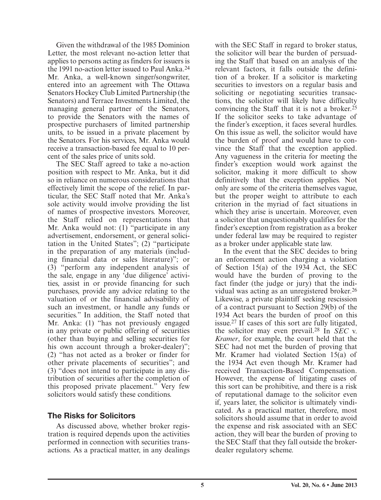Given the withdrawal of the 1985 Dominion Letter, the most relevant no-action letter that applies to persons acting as finders for issuers is the 1991 no-action letter issued to Paul Anka. 24 Mr. Anka, a well-known singer/songwriter, entered into an agreement with The Ottawa Senators Hockey Club Limited Partnership (the Senators) and Terrace Investments Limited, the managing general partner of the Senators, to provide the Senators with the names of prospective purchasers of limited partnership units, to be issued in a private placement by the Senators. For his services, Mr. Anka would receive a transaction-based fee equal to 10 percent of the sales price of units sold.

 The SEC Staff agreed to take a no-action position with respect to Mr. Anka, but it did so in reliance on numerous considerations that effectively limit the scope of the relief. In particular, the SEC Staff noted that Mr. Anka's sole activity would involve providing the list of names of prospective investors. Moreover, the Staff relied on representations that Mr. Anka would not: (1) "participate in any advertisement, endorsement, or general solicitation in the United States"; (2) "participate in the preparation of any materials (including financial data or sales literature)"; or (3) "perform any independent analysis of the sale, engage in any 'due diligence' activities, assist in or provide financing for such purchases, provide any advice relating to the valuation of or the financial advisability of such an investment, or handle any funds or securities." In addition, the Staff noted that Mr. Anka: (1) "has not previously engaged in any private or public offering of securities (other than buying and selling securities for his own account through a broker-dealer)"; (2) "has not acted as a broker or finder for other private placements of securities"; and (3) "does not intend to participate in any distribution of securities after the completion of this proposed private placement." Very few solicitors would satisfy these conditions.

#### **The Risks for Solicitors**

 As discussed above, whether broker registration is required depends upon the activities performed in connection with securities transactions. As a practical matter, in any dealings with the SEC Staff in regard to broker status, the solicitor will bear the burden of persuading the Staff that based on an analysis of the relevant factors, it falls outside the definition of a broker. If a solicitor is marketing securities to investors on a regular basis and soliciting or negotiating securities transactions, the solicitor will likely have difficulty convincing the Staff that it is not a broker. 25 If the solicitor seeks to take advantage of the finder's exception, it faces several hurdles. On this issue as well, the solicitor would have the burden of proof and would have to convince the Staff that the exception applied. Any vagueness in the criteria for meeting the finder's exception would work against the solicitor, making it more difficult to show definitively that the exception applies. Not only are some of the criteria themselves vague, but the proper weight to attribute to each criterion in the myriad of fact situations in which they arise is uncertain. Moreover, even a solicitor that unquestionably qualifies for the finder's exception from registration as a broker under federal law may be required to register as a broker under applicable state law.

 In the event that the SEC decides to bring an enforcement action charging a violation of Section 15(a) of the 1934 Act, the SEC would have the burden of proving to the fact finder (the judge or jury) that the individual was acting as an unregistered broker. 26 Likewise, a private plaintiff seeking rescission of a contract pursuant to Section 29(b) of the 1934 Act bears the burden of proof on this issue. 27 If cases of this sort are fully litigated, the solicitor may even prevail. 28 In *SEC* v. *Kramer* , for example, the court held that the SEC had not met the burden of proving that Mr. Kramer had violated Section 15(a) of the 1934 Act even though Mr. Kramer had received Transaction-Based Compensation. However, the expense of litigating cases of this sort can be prohibitive, and there is a risk of reputational damage to the solicitor even if, years later, the solicitor is ultimately vindicated. As a practical matter, therefore, most solicitors should assume that in order to avoid the expense and risk associated with an SEC action, they will bear the burden of proving to the SEC Staff that they fall outside the brokerdealer regulatory scheme.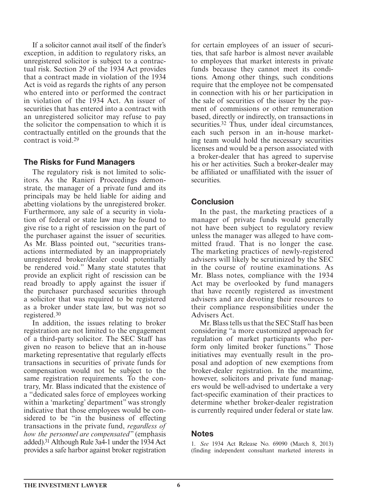If a solicitor cannot avail itself of the finder's exception, in addition to regulatory risks, an unregistered solicitor is subject to a contractual risk. Section 29 of the 1934 Act provides that a contract made in violation of the 1934 Act is void as regards the rights of any person who entered into or performed the contract in violation of the 1934 Act. An issuer of securities that has entered into a contract with an unregistered solicitor may refuse to pay the solicitor the compensation to which it is contractually entitled on the grounds that the contract is void. 29

#### **The Risks for Fund Managers**

 The regulatory risk is not limited to solicitors. As the Ranieri Proceedings demonstrate, the manager of a private fund and its principals may be held liable for aiding and abetting violations by the unregistered broker. Furthermore, any sale of a security in violation of federal or state law may be found to give rise to a right of rescission on the part of the purchaser against the issuer of securities. As Mr. Blass pointed out, "securities transactions intermediated by an inappropriately unregistered broker/dealer could potentially be rendered void." Many state statutes that provide an explicit right of rescission can be read broadly to apply against the issuer if the purchaser purchased securities through a solicitor that was required to be registered as a broker under state law, but was not so registered. 30

 In addition, the issues relating to broker registration are not limited to the engagement of a third-party solicitor. The SEC Staff has given no reason to believe that an in-house marketing representative that regularly effects transactions in securities of private funds for compensation would not be subject to the same registration requirements. To the contrary, Mr. Blass indicated that the existence of a "dedicated sales force of employees working within a 'marketing' department" was strongly indicative that those employees would be considered to be "in the business of effecting transactions in the private fund, *regardless of how the personnel are compensated* " (emphasis added). 31 Although Rule 3a4-1 under the 1934 Act provides a safe harbor against broker registration for certain employees of an issuer of securities, that safe harbor is almost never available to employees that market interests in private funds because they cannot meet its conditions. Among other things, such conditions require that the employee not be compensated in connection with his or her participation in the sale of securities of the issuer by the payment of commissions or other remuneration based, directly or indirectly, on transactions in securities.<sup>32</sup> Thus, under ideal circumstances, each such person in an in-house marketing team would hold the necessary securities licenses and would be a person associated with a broker-dealer that has agreed to supervise his or her activities. Such a broker-dealer may be affiliated or unaffiliated with the issuer of securities.

## **Conclusion**

 In the past, the marketing practices of a manager of private funds would generally not have been subject to regulatory review unless the manager was alleged to have committed fraud. That is no longer the case. The marketing practices of newly-registered advisers will likely be scrutinized by the SEC in the course of routine examinations. As Mr. Blass notes, compliance with the 1934 Act may be overlooked by fund managers that have recently registered as investment advisers and are devoting their resources to their compliance responsibilities under the Advisers Act.

 Mr. Blass tells us that the SEC Staff has been considering "a more customized approach for regulation of market participants who perform only limited broker functions." Those initiatives may eventually result in the proposal and adoption of new exemptions from broker-dealer registration. In the meantime, however, solicitors and private fund managers would be well-advised to undertake a very fact-specific examination of their practices to determine whether broker-dealer registration is currently required under federal or state law.

#### **Notes**

 1. *See* 1934 Act Release No. 69090 (March 8, 2013) (finding independent consultant marketed interests in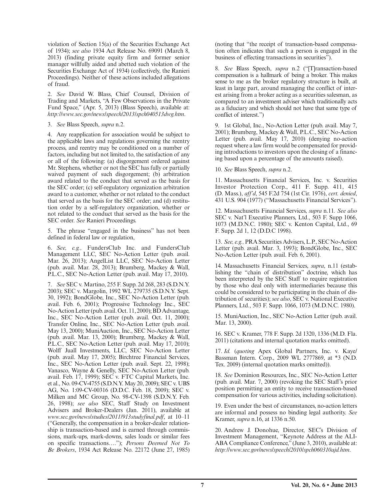violation of Section 15(a) of the Securities Exchange Act of 1934); *see also* 1934 Act Release No. 69091 (March 8, 2013) (finding private equity firm and former senior manager willfully aided and abetted such violation of the Securities Exchange Act of 1934) (collectively, the Ranieri Proceedings). Neither of these actions included allegations of fraud.

 2. *See* David W. Blass, Chief Counsel, Division of Trading and Markets, "A Few Observations in the Private Fund Space," (Apr. 5, 2013) (Blass Speech), available at: *http://www.sec.gov/news/speech/2013/spch040513dwg.htm* .

3. *See* Blass Speech, *supra* n.2.

 4. Any reapplication for association would be subject to the applicable laws and regulations governing the reentry process, and reentry may be conditioned on a number of factors, including but not limited to, the satisfaction of any or all of the following: (a) disgorgement ordered against Mr. Stephens, whether or not the SEC has fully or partially waived payment of such disgorgement; (b) arbitration award related to the conduct that served as the basis for the SEC order; (c) self-regulatory organization arbitration award to a customer, whether or not related to the conduct that served as the basis for the SEC order; and (d) restitution order by a self-regulatory organization, whether or not related to the conduct that served as the basis for the SEC order. *See* Ranieri Proceedings.

 5. The phrase "engaged in the business" has not been defined in federal law or regulation,

 6. *See, e.g.,* FundersClub Inc. and FundersClub Management LLC, SEC No-Action Letter (pub. avail. Mar. 26, 2013); AngelList LLC, SEC No-Action Letter (pub. avail. Mar. 28, 2013); Brumberg, Mackey & Wall, P.L.C., SEC No-Action Letter (pub. avail. May 17, 2010).

 7. *See* SEC v. Martino, 255 F. Supp. 2d 268, 283 (S.D.N.Y. 2003); SEC v. Margolin, 1992 WL 279735 (S.D.N.Y. Sept. 30, 1992); BondGlobe, Inc., SEC No-Action Letter (pub. avail. Feb. 6, 2001); Progressive Technology Inc., SEC No-Action Letter (pub. avail. Oct. 11, 2000); BD Advantage, Inc., SEC No-Action Letter (pub. avail. Oct. 11, 2000); Transfer Online, Inc., SEC No-Action Letter (pub. avail. May 13, 2000); MuniAuction, Inc., SEC No-Action Letter (pub. avail. Mar. 13, 2000); Brumberg, Mackey & Wall, P.L.C., *SEC No-Action Letter* (pub. avail. May 17, 2010); Wolff Juall Investments, LLC, SEC No-Action Letter (pub. avail. May 17, 2005); Birchtree Financial Services, Inc., SEC No-Action Letter (pub. avail. Sept. 22, 1998); Vanasco, Wayne & Genelly, SEC No-Action Letter (pub. avail. Feb. 17, 1999); SEC v. FTC Capital Markets, Inc. et al., No. 09-CV-4755 (S.D.N.Y. May 20, 2009); SEC v. UBS AG, No. 1:09-CV-00316 (D.D.C. Feb. 18, 2009); SEC v. Milken and MC Group, No. 98-CV-1398 (S.D.N.Y. Feb. 26, 1998); *see also* SEC, Staff Study on Investment Advisers and Broker-Dealers (Jan. 2011), available at *www.sec.gov/news/studies/2011/913studyfinal.pdf* , at 10–11 ("Generally, the compensation in a broker-dealer relationship is transaction-based and is earned through commissions, mark-ups, mark-downs, sales loads or similar fees on specific transactions…."); *Persons Deemed Not To Be Brokers* , 1934 Act Release No. 22172 (June 27, 1985) (noting that "the receipt of transaction-based compensation often indicates that such a person is engaged in the business of effecting transactions in securities").

 8. *See* Blass Speech, *supra* n.2 ("[T]ransaction-based compensation is a hallmark of being a broker. This makes sense to me as the broker regulatory structure is built, at least in large part, around managing the conflict of interest arising from a broker acting as a securities salesman, as compared to an investment adviser which traditionally acts as a fiduciary and which should not have that same type of conflict of interest.")

 9. 1st Global, Inc., No-Action Letter (pub. avail. May 7, 2001); Brumberg, Mackey & Wall, P.L.C., SEC No-Action Letter (pub. avail. May 17, 2010) (denying no-action request where a law firm would be compensated for providing introductions to investors upon the closing of a financing based upon a percentage of the amounts raised).

10. *See* Blass Speech, *supra* n.2.

 11. Massachusetts Financial Services, Inc. v. Securities Investor Protection Corp., 411 F. Supp. 411, 415 (D. Mass.), *aff'd* , 545 F.2d 754 (1st Cir. 1976), *cert. denied* , 431 U.S. 904 (1977) ("Massachusetts Financial Services").

 12. Massachusetts Financial Services, *supra* n.11 *. See also* SEC v. Nat'l Executive Planners, Ltd., 503 F. Supp 1066, 1073 (M.D.N.C. 1980); SEC v. Kenton Capital, Ltd., 69 F. Supp. 2d 1, 12 (D.D.C 1998).

 13. *See, e.g.,* PRA Securities Advisers, L.P., SEC No-Action Letter (pub. avail. Mar. 3, 1993); BondGlobe, Inc., SEC No-Action Letter (pub. avail. Feb. 6, 2001).

 14. Massachusetts Financial Services, *supra* , n.11 (establishing the "chain of distribution" doctrine, which has been interpreted by the SEC Staff to require registration by those who deal only with intermediaries because this could be considered to be participating in the chain of distribution of securities); *see also* , SEC v. National Executive Planners, Ltd., 503 F. Supp. 1066, 1073 (M.D.N.C. 1980).

 15. MuniAuction, Inc., SEC No-Action Letter (pub. avail. Mar. 13, 2000).

 16. SEC v. Kramer, 778 F. Supp. 2d 1320, 1336 (M.D. Fla. 2011) (citations and internal quotation marks omitted).

17. Id. (quoting Apex Global Partners, Inc. v. Kaye/ Bassman Intern. Corp., 2009 WL 2777869, at \*3 (N.D. Tex. 2009) (internal quotation marks omitted)).

 18. *See* Dominion Resources, Inc., SEC No-Action Letter (pub. avail. Mar. 7, 2000) (revoking the SEC Staff's prior position permitting an entity to receive transaction-based compensation for various activities, including solicitation).

 19. Even under the best of circumstances, no-action letters are informal and possess no binding legal authority. *See* Kramer, *supra* n.16, at 1336 n.50.

 20. Andrew J. Donohue, Director, SEC's Division of Investment Management, "Keynote Address at the ALI-ABA Compliance Conference," (June 3, 2010), available at: *http://www.sec.gov/news/speech/2010/spch060310ajd.htm* .